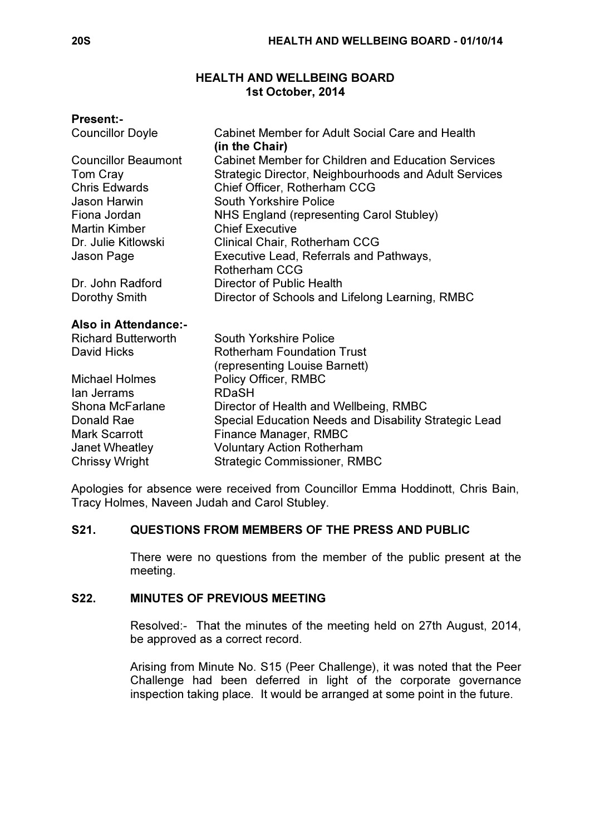# HEALTH AND WELLBEING BOARD 1st October, 2014

## Present:-

| <b>Cabinet Member for Adult Social Care and Health</b><br>(in the Chair) |
|--------------------------------------------------------------------------|
| <b>Cabinet Member for Children and Education Services</b>                |
| Strategic Director, Neighbourhoods and Adult Services                    |
| Chief Officer, Rotherham CCG                                             |
| South Yorkshire Police                                                   |
| NHS England (representing Carol Stubley)                                 |
| <b>Chief Executive</b>                                                   |
| Clinical Chair, Rotherham CCG                                            |
| Executive Lead, Referrals and Pathways,                                  |
| Rotherham CCG                                                            |
| Director of Public Health                                                |
| Director of Schools and Lifelong Learning, RMBC                          |
|                                                                          |
| <b>South Yorkshire Police</b>                                            |
| <b>Rotherham Foundation Trust</b>                                        |
| (representing Louise Barnett)                                            |
| Policy Officer, RMBC                                                     |
| <b>RDaSH</b>                                                             |
| Director of Health and Wellbeing, RMBC                                   |
| Special Education Needs and Disability Strategic Lead                    |
| Finance Manager, RMBC                                                    |
| <b>Voluntary Action Rotherham</b>                                        |
| <b>Strategic Commissioner, RMBC</b>                                      |
|                                                                          |

Apologies for absence were received from Councillor Emma Hoddinott, Chris Bain, Tracy Holmes, Naveen Judah and Carol Stubley.

# S21. QUESTIONS FROM MEMBERS OF THE PRESS AND PUBLIC

 There were no questions from the member of the public present at the meeting.

# S22. MINUTES OF PREVIOUS MEETING

 Resolved:- That the minutes of the meeting held on 27th August, 2014, be approved as a correct record.

Arising from Minute No. S15 (Peer Challenge), it was noted that the Peer Challenge had been deferred in light of the corporate governance inspection taking place. It would be arranged at some point in the future.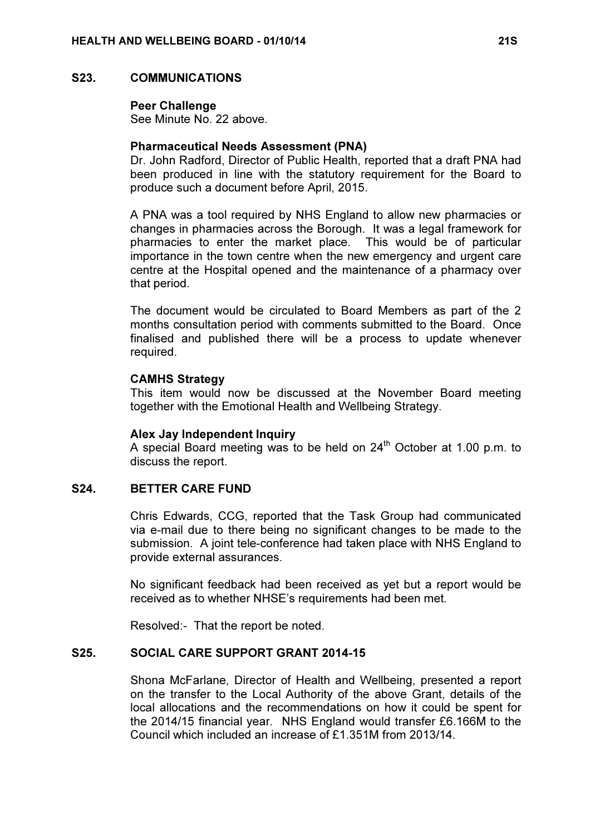#### S23. COMMUNICATIONS

#### Peer Challenge

See Minute No. 22 above.

### Pharmaceutical Needs Assessment (PNA)

Dr. John Radford, Director of Public Health, reported that a draft PNA had been produced in line with the statutory requirement for the Board to produce such a document before April, 2015.

A PNA was a tool required by NHS England to allow new pharmacies or changes in pharmacies across the Borough. It was a legal framework for pharmacies to enter the market place. This would be of particular importance in the town centre when the new emergency and urgent care centre at the Hospital opened and the maintenance of a pharmacy over that period.

The document would be circulated to Board Members as part of the 2 months consultation period with comments submitted to the Board. Once finalised and published there will be a process to update whenever required.

#### CAMHS Strategy

This item would now be discussed at the November Board meeting together with the Emotional Health and Wellbeing Strategy.

### Alex Jay Independent Inquiry

A special Board meeting was to be held on  $24<sup>th</sup>$  October at 1.00 p.m. to discuss the report.

### S24. BETTER CARE FUND

 Chris Edwards, CCG, reported that the Task Group had communicated via e-mail due to there being no significant changes to be made to the submission. A joint tele-conference had taken place with NHS England to provide external assurances.

No significant feedback had been received as yet but a report would be received as to whether NHSE's requirements had been met.

Resolved:- That the report be noted.

### S25. SOCIAL CARE SUPPORT GRANT 2014-15

 Shona McFarlane, Director of Health and Wellbeing, presented a report on the transfer to the Local Authority of the above Grant, details of the local allocations and the recommendations on how it could be spent for the 2014/15 financial year. NHS England would transfer £6.166M to the Council which included an increase of £1.351M from 2013/14.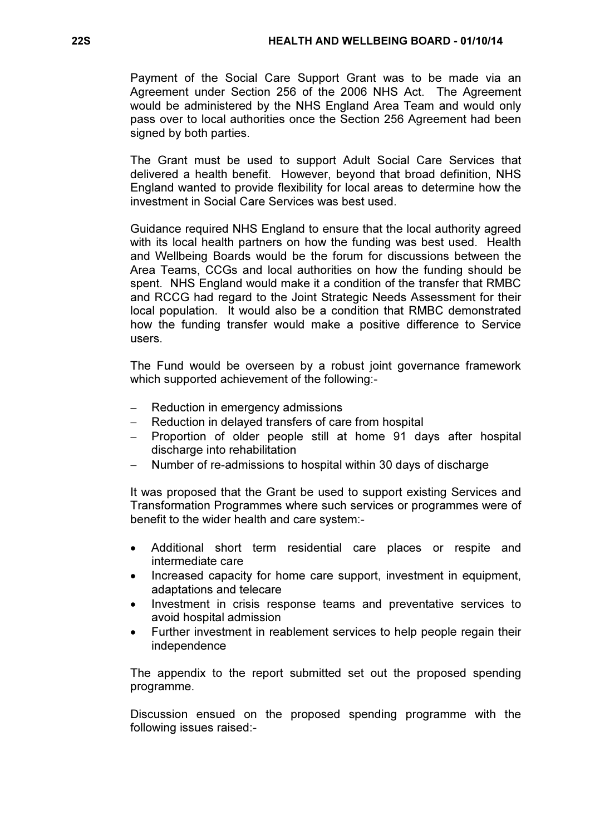Payment of the Social Care Support Grant was to be made via an Agreement under Section 256 of the 2006 NHS Act. The Agreement would be administered by the NHS England Area Team and would only pass over to local authorities once the Section 256 Agreement had been signed by both parties.

The Grant must be used to support Adult Social Care Services that delivered a health benefit. However, beyond that broad definition, NHS England wanted to provide flexibility for local areas to determine how the investment in Social Care Services was best used.

Guidance required NHS England to ensure that the local authority agreed with its local health partners on how the funding was best used. Health and Wellbeing Boards would be the forum for discussions between the Area Teams, CCGs and local authorities on how the funding should be spent. NHS England would make it a condition of the transfer that RMBC and RCCG had regard to the Joint Strategic Needs Assessment for their local population. It would also be a condition that RMBC demonstrated how the funding transfer would make a positive difference to Service users.

The Fund would be overseen by a robust joint governance framework which supported achievement of the following:-

- Reduction in emergency admissions
- − Reduction in delayed transfers of care from hospital
- − Proportion of older people still at home 91 days after hospital discharge into rehabilitation
- Number of re-admissions to hospital within 30 days of discharge

It was proposed that the Grant be used to support existing Services and Transformation Programmes where such services or programmes were of benefit to the wider health and care system:-

- Additional short term residential care places or respite and intermediate care
- Increased capacity for home care support, investment in equipment, adaptations and telecare
- Investment in crisis response teams and preventative services to avoid hospital admission
- Further investment in reablement services to help people regain their independence

The appendix to the report submitted set out the proposed spending programme.

Discussion ensued on the proposed spending programme with the following issues raised:-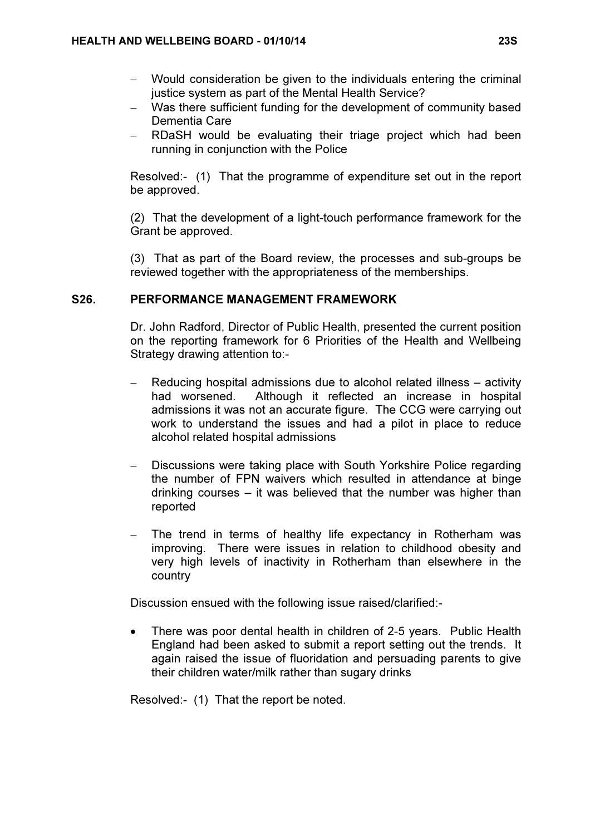- − Would consideration be given to the individuals entering the criminal justice system as part of the Mental Health Service?
- − Was there sufficient funding for the development of community based Dementia Care
- − RDaSH would be evaluating their triage project which had been running in conjunction with the Police

Resolved:- (1) That the programme of expenditure set out in the report be approved.

(2) That the development of a light-touch performance framework for the Grant be approved.

(3) That as part of the Board review, the processes and sub-groups be reviewed together with the appropriateness of the memberships.

## S26. PERFORMANCE MANAGEMENT FRAMEWORK

 Dr. John Radford, Director of Public Health, presented the current position on the reporting framework for 6 Priorities of the Health and Wellbeing Strategy drawing attention to:-

- − Reducing hospital admissions due to alcohol related illness activity had worsened. Although it reflected an increase in hospital admissions it was not an accurate figure. The CCG were carrying out work to understand the issues and had a pilot in place to reduce alcohol related hospital admissions
- Discussions were taking place with South Yorkshire Police regarding the number of FPN waivers which resulted in attendance at binge drinking courses – it was believed that the number was higher than reported
- The trend in terms of healthy life expectancy in Rotherham was improving. There were issues in relation to childhood obesity and very high levels of inactivity in Rotherham than elsewhere in the country

Discussion ensued with the following issue raised/clarified:-

• There was poor dental health in children of 2-5 years. Public Health England had been asked to submit a report setting out the trends. It again raised the issue of fluoridation and persuading parents to give their children water/milk rather than sugary drinks

Resolved:- (1) That the report be noted.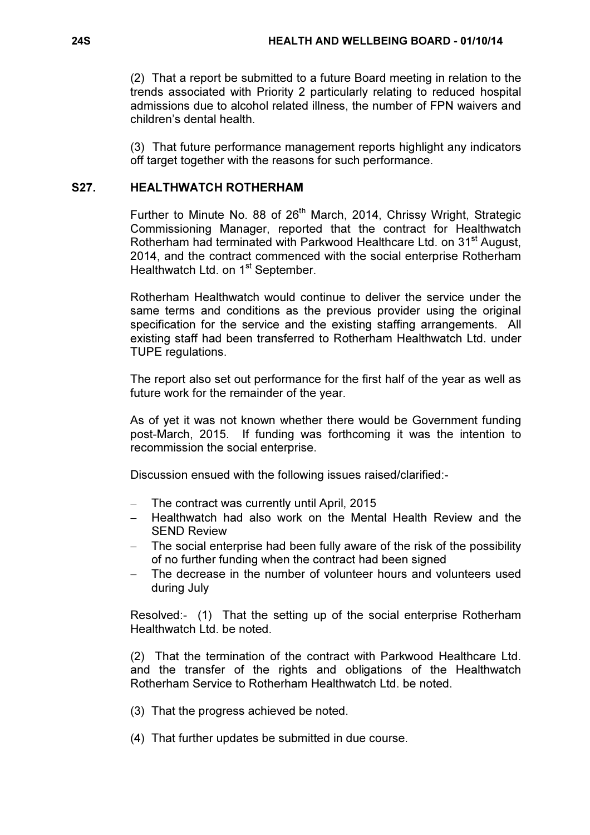(2) That a report be submitted to a future Board meeting in relation to the trends associated with Priority 2 particularly relating to reduced hospital admissions due to alcohol related illness, the number of FPN waivers and children's dental health.

(3) That future performance management reports highlight any indicators off target together with the reasons for such performance.

# S27. HEALTHWATCH ROTHERHAM

Further to Minute No. 88 of 26<sup>th</sup> March, 2014, Chrissy Wright, Strategic Commissioning Manager, reported that the contract for Healthwatch Rotherham had terminated with Parkwood Healthcare Ltd. on 31<sup>st</sup> August, 2014, and the contract commenced with the social enterprise Rotherham Healthwatch Ltd. on 1<sup>st</sup> September.

Rotherham Healthwatch would continue to deliver the service under the same terms and conditions as the previous provider using the original specification for the service and the existing staffing arrangements. All existing staff had been transferred to Rotherham Healthwatch Ltd. under TUPE regulations.

The report also set out performance for the first half of the year as well as future work for the remainder of the year.

As of yet it was not known whether there would be Government funding post-March, 2015. If funding was forthcoming it was the intention to recommission the social enterprise.

Discussion ensued with the following issues raised/clarified:-

- − The contract was currently until April, 2015
- − Healthwatch had also work on the Mental Health Review and the SEND Review
- The social enterprise had been fully aware of the risk of the possibility of no further funding when the contract had been signed
- The decrease in the number of volunteer hours and volunteers used during July

Resolved:- (1) That the setting up of the social enterprise Rotherham Healthwatch Ltd. be noted.

(2) That the termination of the contract with Parkwood Healthcare Ltd. and the transfer of the rights and obligations of the Healthwatch Rotherham Service to Rotherham Healthwatch Ltd. be noted.

- (3) That the progress achieved be noted.
- (4) That further updates be submitted in due course.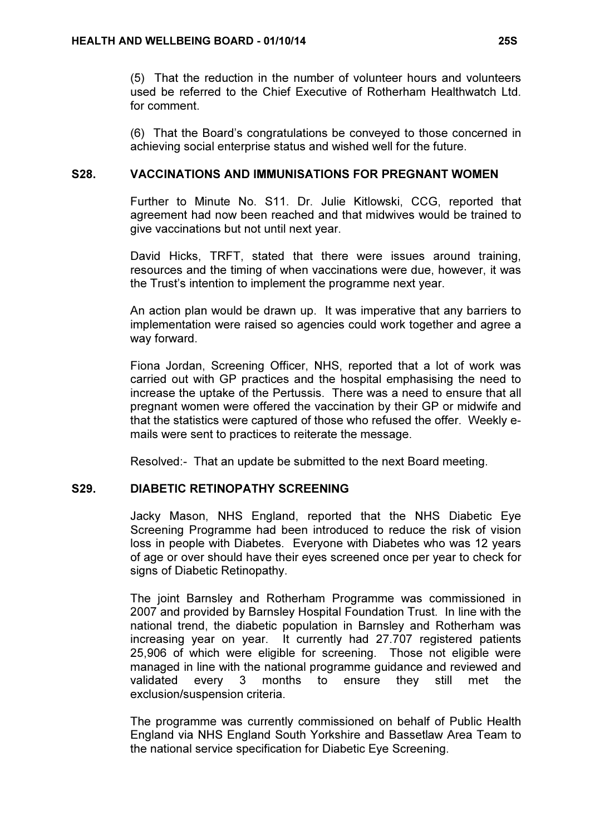(5) That the reduction in the number of volunteer hours and volunteers used be referred to the Chief Executive of Rotherham Healthwatch Ltd. for comment.

(6) That the Board's congratulations be conveyed to those concerned in achieving social enterprise status and wished well for the future.

### S28. VACCINATIONS AND IMMUNISATIONS FOR PREGNANT WOMEN

 Further to Minute No. S11. Dr. Julie Kitlowski, CCG, reported that agreement had now been reached and that midwives would be trained to give vaccinations but not until next year.

David Hicks, TRFT, stated that there were issues around training, resources and the timing of when vaccinations were due, however, it was the Trust's intention to implement the programme next year.

An action plan would be drawn up. It was imperative that any barriers to implementation were raised so agencies could work together and agree a way forward.

Fiona Jordan, Screening Officer, NHS, reported that a lot of work was carried out with GP practices and the hospital emphasising the need to increase the uptake of the Pertussis. There was a need to ensure that all pregnant women were offered the vaccination by their GP or midwife and that the statistics were captured of those who refused the offer. Weekly emails were sent to practices to reiterate the message.

Resolved:- That an update be submitted to the next Board meeting.

# S29. DIABETIC RETINOPATHY SCREENING

 Jacky Mason, NHS England, reported that the NHS Diabetic Eye Screening Programme had been introduced to reduce the risk of vision loss in people with Diabetes. Everyone with Diabetes who was 12 years of age or over should have their eyes screened once per year to check for signs of Diabetic Retinopathy.

The joint Barnsley and Rotherham Programme was commissioned in 2007 and provided by Barnsley Hospital Foundation Trust. In line with the national trend, the diabetic population in Barnsley and Rotherham was increasing year on year. It currently had 27.707 registered patients 25,906 of which were eligible for screening. Those not eligible were managed in line with the national programme guidance and reviewed and validated every 3 months to ensure they still met the exclusion/suspension criteria.

The programme was currently commissioned on behalf of Public Health England via NHS England South Yorkshire and Bassetlaw Area Team to the national service specification for Diabetic Eye Screening.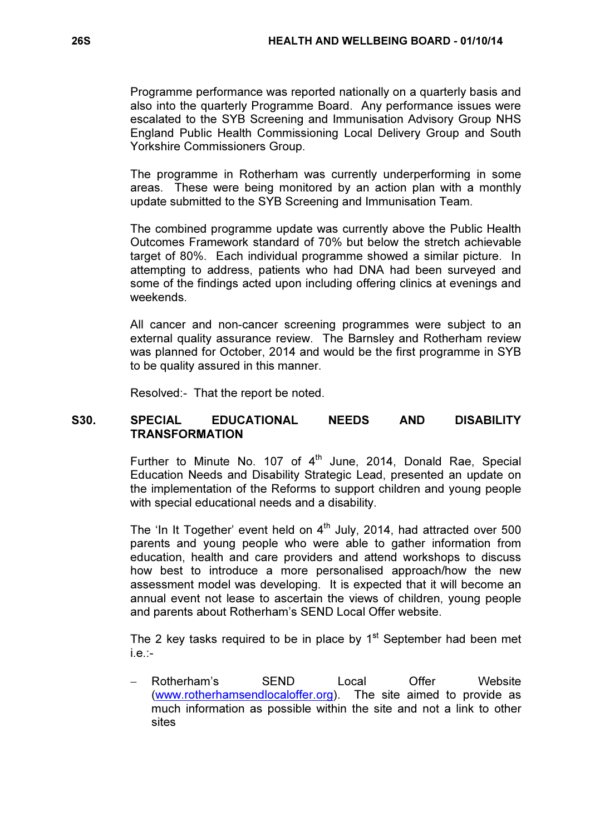Programme performance was reported nationally on a quarterly basis and also into the quarterly Programme Board. Any performance issues were escalated to the SYB Screening and Immunisation Advisory Group NHS England Public Health Commissioning Local Delivery Group and South Yorkshire Commissioners Group.

The programme in Rotherham was currently underperforming in some areas. These were being monitored by an action plan with a monthly update submitted to the SYB Screening and Immunisation Team.

The combined programme update was currently above the Public Health Outcomes Framework standard of 70% but below the stretch achievable target of 80%. Each individual programme showed a similar picture. In attempting to address, patients who had DNA had been surveyed and some of the findings acted upon including offering clinics at evenings and weekends.

All cancer and non-cancer screening programmes were subject to an external quality assurance review. The Barnsley and Rotherham review was planned for October, 2014 and would be the first programme in SYB to be quality assured in this manner.

Resolved:- That the report be noted.

## S30. SPECIAL EDUCATIONAL NEEDS AND DISABILITY **TRANSFORMATION**

Further to Minute No. 107 of  $4<sup>th</sup>$  June, 2014, Donald Rae, Special Education Needs and Disability Strategic Lead, presented an update on the implementation of the Reforms to support children and young people with special educational needs and a disability.

The 'In It Together' event held on  $4<sup>th</sup>$  July, 2014, had attracted over 500 parents and young people who were able to gather information from education, health and care providers and attend workshops to discuss how best to introduce a more personalised approach/how the new assessment model was developing. It is expected that it will become an annual event not lease to ascertain the views of children, young people and parents about Rotherham's SEND Local Offer website.

The 2 key tasks required to be in place by  $1<sup>st</sup>$  September had been met i.e.:-

− Rotherham's SEND Local Offer Website (www.rotherhamsendlocaloffer.org). The site aimed to provide as much information as possible within the site and not a link to other sites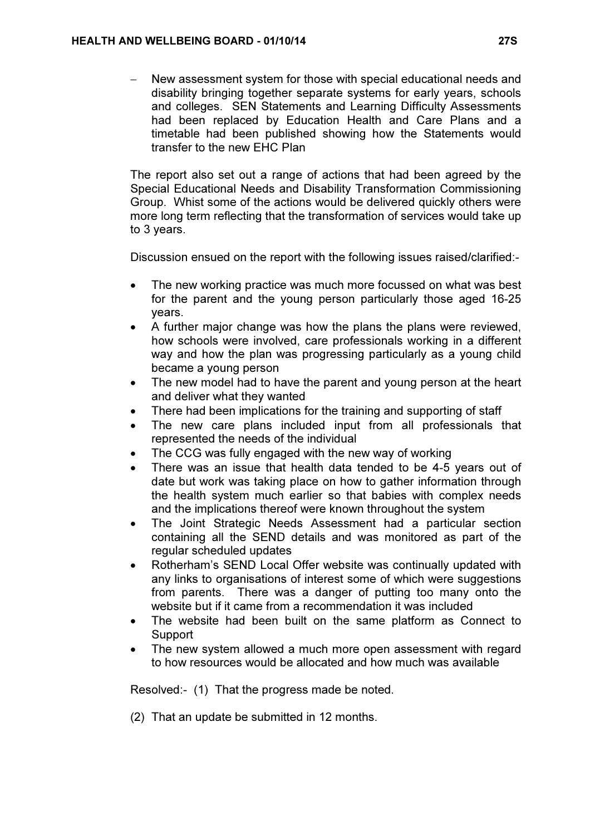− New assessment system for those with special educational needs and disability bringing together separate systems for early years, schools and colleges. SEN Statements and Learning Difficulty Assessments had been replaced by Education Health and Care Plans and a timetable had been published showing how the Statements would transfer to the new EHC Plan

The report also set out a range of actions that had been agreed by the Special Educational Needs and Disability Transformation Commissioning Group. Whist some of the actions would be delivered quickly others were more long term reflecting that the transformation of services would take up to 3 years.

Discussion ensued on the report with the following issues raised/clarified:-

- The new working practice was much more focussed on what was best for the parent and the young person particularly those aged 16-25 years.
- A further major change was how the plans the plans were reviewed, how schools were involved, care professionals working in a different way and how the plan was progressing particularly as a young child became a young person
- The new model had to have the parent and young person at the heart and deliver what they wanted
- There had been implications for the training and supporting of staff
- The new care plans included input from all professionals that represented the needs of the individual
- The CCG was fully engaged with the new way of working
- There was an issue that health data tended to be 4-5 years out of date but work was taking place on how to gather information through the health system much earlier so that babies with complex needs and the implications thereof were known throughout the system
- The Joint Strategic Needs Assessment had a particular section containing all the SEND details and was monitored as part of the regular scheduled updates
- Rotherham's SEND Local Offer website was continually updated with any links to organisations of interest some of which were suggestions from parents. There was a danger of putting too many onto the website but if it came from a recommendation it was included
- The website had been built on the same platform as Connect to Support
- The new system allowed a much more open assessment with regard to how resources would be allocated and how much was available

Resolved:- (1) That the progress made be noted.

(2) That an update be submitted in 12 months.